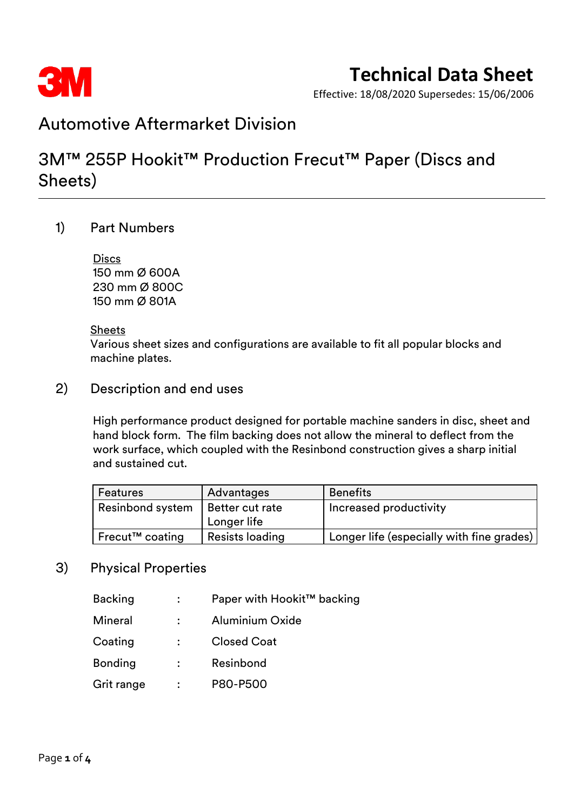

Effective: 18/08/2020 Supersedes: 15/06/2006

## Automotive Aftermarket Division

## 3M™ 255P Hookit™ Production Frecut™ Paper (Discs and Sheets)

### 1) Part Numbers

**Discs** 150 mm Ø 600A 230 mm Ø 800C 150 mm Ø 801A

#### **Sheets**

Various sheet sizes and configurations are available to fit all popular blocks and machine plates.

### 2) Description and end uses

High performance product designed for portable machine sanders in disc, sheet and hand block form. The film backing does not allow the mineral to deflect from the work surface, which coupled with the Resinbond construction gives a sharp initial and sustained cut.

| <b>Features</b>         | Advantages      | <b>Benefits</b>                           |  |
|-------------------------|-----------------|-------------------------------------------|--|
| <b>Resinbond system</b> | Better cut rate | Increased productivity                    |  |
|                         | Longer life     |                                           |  |
| Frecut™ coating         | Resists loading | Longer life (especially with fine grades) |  |

### 3) Physical Properties

- Backing : Paper with Hookit™ backing
- Mineral : Aluminium Oxide
- Coating : Closed Coat
- Bonding : Resinbond
- Grit range : P80-P500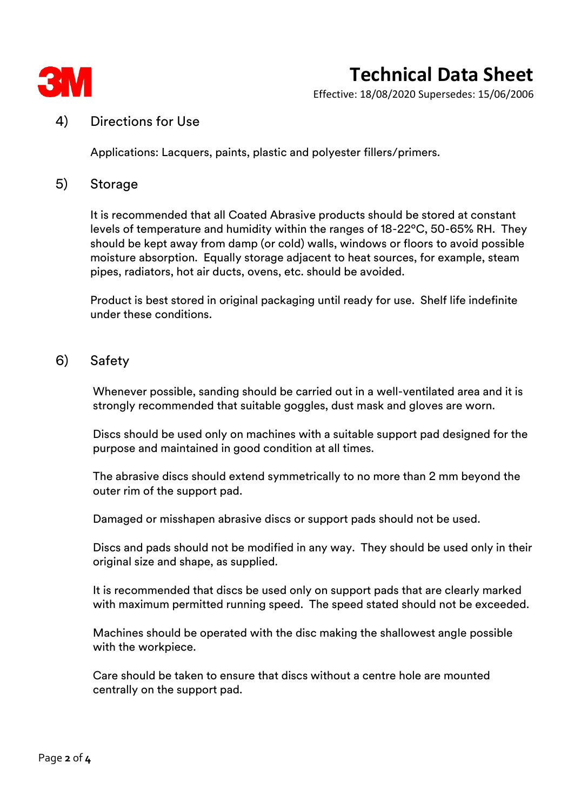

# **Technical Data Sheet**

Effective: 18/08/2020 Supersedes: 15/06/2006

#### 4) Directions for Use

Applications: Lacquers, paints, plastic and polyester fillers/primers.

#### 5) Storage

It is recommended that all Coated Abrasive products should be stored at constant levels of temperature and humidity within the ranges of 18-22ºC, 50-65% RH. They should be kept away from damp (or cold) walls, windows or floors to avoid possible moisture absorption. Equally storage adjacent to heat sources, for example, steam pipes, radiators, hot air ducts, ovens, etc. should be avoided.

Product is best stored in original packaging until ready for use. Shelf life indefinite under these conditions.

#### 6) Safety

Whenever possible, sanding should be carried out in a well-ventilated area and it is strongly recommended that suitable goggles, dust mask and gloves are worn.

Discs should be used only on machines with a suitable support pad designed for the purpose and maintained in good condition at all times.

The abrasive discs should extend symmetrically to no more than 2 mm beyond the outer rim of the support pad.

Damaged or misshapen abrasive discs or support pads should not be used.

Discs and pads should not be modified in any way. They should be used only in their original size and shape, as supplied.

It is recommended that discs be used only on support pads that are clearly marked with maximum permitted running speed. The speed stated should not be exceeded.

Machines should be operated with the disc making the shallowest angle possible with the workpiece.

Care should be taken to ensure that discs without a centre hole are mounted centrally on the support pad.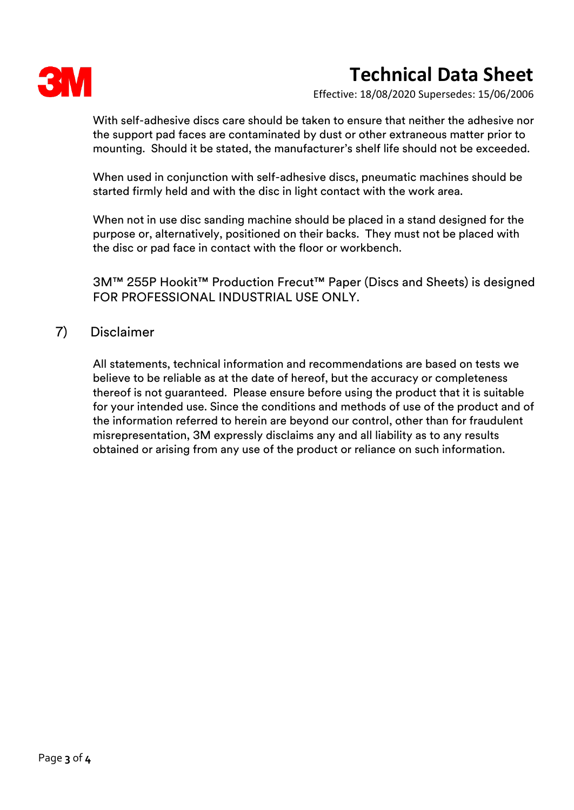

# **Technical Data Sheet**

Effective: 18/08/2020 Supersedes: 15/06/2006

With self-adhesive discs care should be taken to ensure that neither the adhesive nor the support pad faces are contaminated by dust or other extraneous matter prior to mounting. Should it be stated, the manufacturer's shelf life should not be exceeded.

When used in conjunction with self-adhesive discs, pneumatic machines should be started firmly held and with the disc in light contact with the work area.

When not in use disc sanding machine should be placed in a stand designed for the purpose or, alternatively, positioned on their backs. They must not be placed with the disc or pad face in contact with the floor or workbench.

3M™ 255P Hookit™ Production Frecut™ Paper (Discs and Sheets) is designed FOR PROFESSIONAL INDUSTRIAL USE ONLY.

### 7) Disclaimer

All statements, technical information and recommendations are based on tests we believe to be reliable as at the date of hereof, but the accuracy or completeness thereof is not guaranteed. Please ensure before using the product that it is suitable for your intended use. Since the conditions and methods of use of the product and of the information referred to herein are beyond our control, other than for fraudulent misrepresentation, 3M expressly disclaims any and all liability as to any results obtained or arising from any use of the product or reliance on such information.